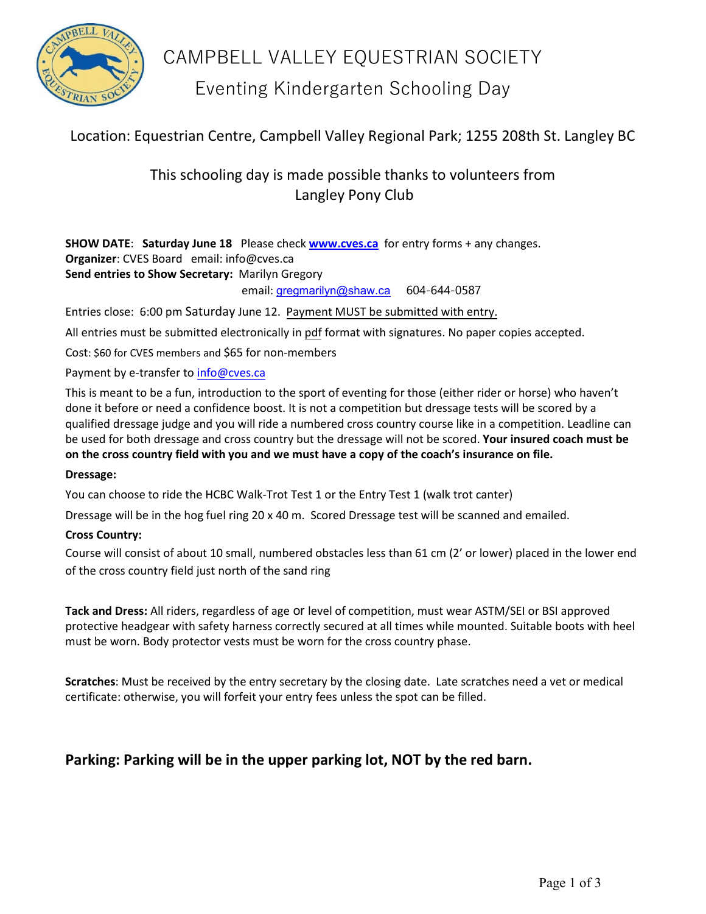

CAMPBELL VALLEY EQUESTRIAN SOCIETY

# Eventing Kindergarten Schooling Day

## Location: Equestrian Centre, Campbell Valley Regional Park; 1255 208th St. Langley BC

## This schooling day is made possible thanks to volunteers from Langley Pony Club

**SHOW DATE**: **Saturday June 18** Please check **[www.cves.ca](http://www.cves.ca/)** for entry forms + any changes. **Organizer**: CVES Board email: info@cves.ca

### **Send entries to Show Secretary:** Marilyn Gregory

email: [gregmarilyn@shaw.ca](mailto:gregmarilyn@shaw.ca) 604-644-0587

Entries close: 6:00 pm Saturday June 12. Payment MUST be submitted with entry.

All entries must be submitted electronically in pdf format with signatures. No paper copies accepted.

Cost: \$60 for CVES members and \$65 for non-members

Payment by e-transfer to [info@cves.ca](mailto:info@cves.ca)

This is meant to be a fun, introduction to the sport of eventing for those (either rider or horse) who haven't done it before or need a confidence boost. It is not a competition but dressage tests will be scored by a qualified dressage judge and you will ride a numbered cross country course like in a competition. Leadline can be used for both dressage and cross country but the dressage will not be scored. **Your insured coach must be on the cross country field with you and we must have a copy of the coach's insurance on file.**

#### **Dressage:**

You can choose to ride the HCBC Walk-Trot Test 1 or the Entry Test 1 (walk trot canter)

Dressage will be in the hog fuel ring 20 x 40 m. Scored Dressage test will be scanned and emailed.

#### **Cross Country:**

Course will consist of about 10 small, numbered obstacles less than 61 cm (2' or lower) placed in the lower end of the cross country field just north of the sand ring

**Tack and Dress:** All riders, regardless of age or level of competition, must wear ASTM/SEI or BSI approved protective headgear with safety harness correctly secured at all times while mounted. Suitable boots with heel must be worn. Body protector vests must be worn for the cross country phase.

**Scratches**: Must be received by the entry secretary by the closing date. Late scratches need a vet or medical certificate: otherwise, you will forfeit your entry fees unless the spot can be filled.

### **Parking: Parking will be in the upper parking lot, NOT by the red barn.**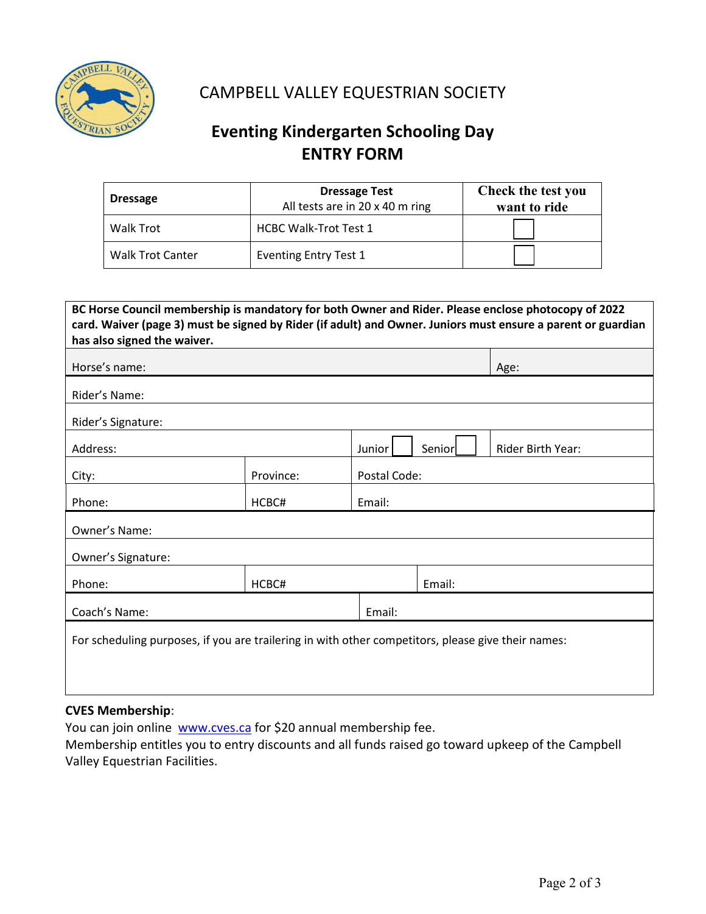

# CAMPBELL VALLEY EQUESTRIAN SOCIETY

# **Eventing Kindergarten Schooling Day ENTRY FORM**

| <b>Dressage</b>  | <b>Dressage Test</b><br>All tests are in 20 x 40 m ring | <b>Check the test you</b><br>want to ride |
|------------------|---------------------------------------------------------|-------------------------------------------|
| Walk Trot        | <b>HCBC Walk-Trot Test 1</b>                            |                                           |
| Walk Trot Canter | <b>Eventing Entry Test 1</b>                            |                                           |

| BC Horse Council membership is mandatory for both Owner and Rider. Please enclose photocopy of 2022<br>card. Waiver (page 3) must be signed by Rider (if adult) and Owner. Juniors must ensure a parent or guardian |           |              |        |                   |  |  |
|---------------------------------------------------------------------------------------------------------------------------------------------------------------------------------------------------------------------|-----------|--------------|--------|-------------------|--|--|
| has also signed the waiver.                                                                                                                                                                                         |           |              |        |                   |  |  |
| Horse's name:                                                                                                                                                                                                       |           |              |        | Age:              |  |  |
| Rider's Name:                                                                                                                                                                                                       |           |              |        |                   |  |  |
| Rider's Signature:                                                                                                                                                                                                  |           |              |        |                   |  |  |
| Address:                                                                                                                                                                                                            |           | Junior       | Senior | Rider Birth Year: |  |  |
| City:                                                                                                                                                                                                               | Province: | Postal Code: |        |                   |  |  |
| Phone:                                                                                                                                                                                                              | HCBC#     | Email:       |        |                   |  |  |
| Owner's Name:                                                                                                                                                                                                       |           |              |        |                   |  |  |
| Owner's Signature:                                                                                                                                                                                                  |           |              |        |                   |  |  |
| Phone:                                                                                                                                                                                                              | HCBC#     |              | Email: |                   |  |  |
| Coach's Name:                                                                                                                                                                                                       |           | Email:       |        |                   |  |  |
| For scheduling purposes, if you are trailering in with other competitors, please give their names:                                                                                                                  |           |              |        |                   |  |  |
|                                                                                                                                                                                                                     |           |              |        |                   |  |  |
|                                                                                                                                                                                                                     |           |              |        |                   |  |  |

### **CVES Membership**:

You can join online [www.cves.ca](http://www.cves.ca/) for \$20 annual membership fee.

Membership entitles you to entry discounts and all funds raised go toward upkeep of the Campbell Valley Equestrian Facilities.